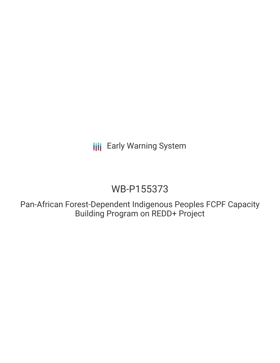**III** Early Warning System

# WB-P155373

Pan-African Forest-Dependent Indigenous Peoples FCPF Capacity Building Program on REDD+ Project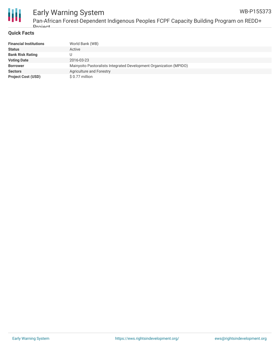

#### Early Warning System Pan-African Forest-Dependent Indigenous Peoples FCPF Capacity Building Program on REDD+ WB-P155373

#### **Quick Facts**

**Droject** 

| <b>Financial Institutions</b> | World Bank (WB)                                                    |
|-------------------------------|--------------------------------------------------------------------|
| <b>Status</b>                 | Active                                                             |
| <b>Bank Risk Rating</b>       |                                                                    |
| <b>Voting Date</b>            | 2016-03-23                                                         |
| <b>Borrower</b>               | Mainyoito Pastoralists Integrated Development Organization (MPIDO) |
| <b>Sectors</b>                | Agriculture and Forestry                                           |
| <b>Project Cost (USD)</b>     | \$0.77 million                                                     |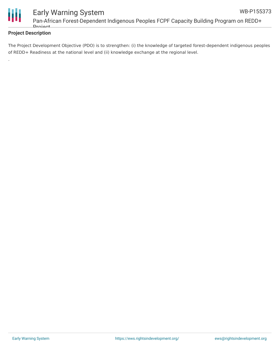

.

#### **Project Description**

The Project Development Objective (PDO) is to strengthen: (i) the knowledge of targeted forest-dependent indigenous peoples of REDD+ Readiness at the national level and (ii) knowledge exchange at the regional level.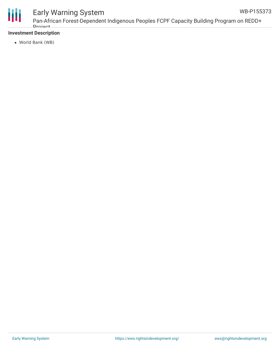

## Early Warning System

Pan-African Forest-Dependent Indigenous Peoples FCPF Capacity Building Program on REDD+ **Droject** 

#### **Investment Description**

World Bank (WB)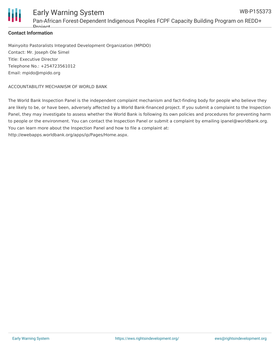

#### **Contact Information**

Mainyoito Pastoralists Integrated Development Organization (MPIDO) Contact: Mr. Joseph Ole Simel Title: Executive Director Telephone No.: +254723561012 Email: mpido@mpido.org

#### ACCOUNTABILITY MECHANISM OF WORLD BANK

The World Bank Inspection Panel is the independent complaint mechanism and fact-finding body for people who believe they are likely to be, or have been, adversely affected by a World Bank-financed project. If you submit a complaint to the Inspection Panel, they may investigate to assess whether the World Bank is following its own policies and procedures for preventing harm to people or the environment. You can contact the Inspection Panel or submit a complaint by emailing ipanel@worldbank.org. You can learn more about the Inspection Panel and how to file a complaint at: http://ewebapps.worldbank.org/apps/ip/Pages/Home.aspx.